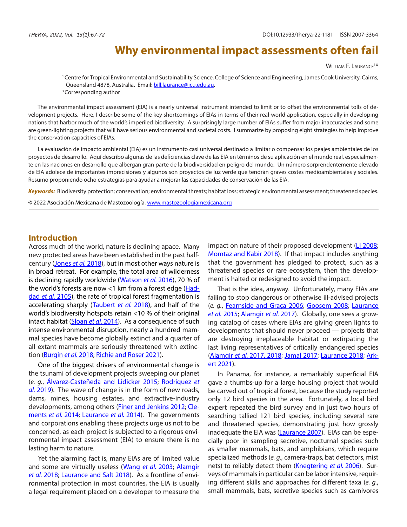# **Why environmental impact assessments often fail**

William F. Laurance<sup>1\*</sup>

<sup>1</sup> Centre for Tropical Environmental and Sustainability Science, College of Science and Engineering, James Cook University, Cairns, Queensland 4878, Australia. Email: [bill.laurance@jcu.edu.au.](mailto:bill.laurance@jcu.edu.au) \*Corresponding author

The environmental impact assessment (EIA) is a nearly universal instrument intended to limit or to offset the environmental tolls of development projects. Here, I describe some of the key shortcomings of EIAs in terms of their real-world application, especially in developing nations that harbor much of the world's imperiled biodiversity. A surprisingly large number of EIAs suffer from major inaccuracies and some are green-lighting projects that will have serious environmental and societal costs. I summarize by proposing eight strategies to help improve the conservation capacities of EIAs.

La evaluación de impacto ambiental (EIA) es un instrumento casi universal destinado a limitar o compensar los peajes ambientales de los proyectos de desarrollo. Aquí describo algunas de las deficiencias clave de las EIA en términos de su aplicación en el mundo real, especialmente en las naciones en desarrollo que albergan gran parte de la biodiversidad en peligro del mundo. Un número sorprendentemente elevado de EIA adolece de importantes imprecisiones y algunos son proyectos de luz verde que tendrán graves costes medioambientales y sociales. Resumo proponiendo ocho estrategias para ayudar a mejorar las capacidades de conservación de las EIA.

*Keywords:* Biodiversity protection; conservation; environmental threats; habitat loss; strategic environmental assessment; threatened species.

© 2022 Asociación Mexicana de Mastozoología, www.mastozoologiamexicana.org

#### **Introduction**

Across much of the world, nature is declining apace. Many new protected areas have been established in the past halfcentury ([Jones](#page-4-0) *et al.* 2018), but in most other ways nature is in broad retreat. For example, the total area of wilderness is declining rapidly worldwide ([Watson](#page-5-0) *et al.* 2016), 70 % of the world's forests are now <1 km from a forest edge  $(Had$ dad *et al.* [2105](#page-4-1)), the rate of tropical forest fragmentation is accelerating sharply ([Taubert](#page-4-2) *et al.* 2018), and half of the world's biodiversity hotspots retain <10 % of their original intact habitat [\(Sloan](#page-4-3) *et al.* 2014). As a consequence of such intense environmental disruption, nearly a hundred mammal species have become globally extinct and a quarter of all extant mammals are seriously threatened with extinction ([Burgin](#page-3-0) *et al.* 2018; [Richie and Roser 2021](#page-4-4)).

One of the biggest drivers of environmental change is the tsunami of development projects sweeping our planet (*e. g.*, [Álvarez-Casteñeda and Lidicker 2015;](#page-3-1) [Rodriquez](#page-4-5) *et al.* [2019\)](#page-4-5). The wave of change is in the form of new roads, dams, mines, housing estates, and extractive-industry developments, among others ([Finer and Jenkins 2012](#page-4-6); [Cle](#page-3-2)[ments](#page-3-2) *et al.* 2014; [Laurance](#page-4-7) *et al.* 2014). The governments and corporations enabling these projects urge us not to be concerned, as each project is subjected to a rigorous environmental impact assessment (EIA) to ensure there is no lasting harm to nature.

Yet the alarming fact is, many EIAs are of limited value and some are virtually useless ([Wang](#page-4-8) *et al.* 2003; [Alamgir](#page-3-3) [et al.](#page-3-3) 2018; [Laurance and Salt 2018](#page-4-9)). As a frontline of environmental protection in most countries, the EIA is usually a legal requirement placed on a developer to measure the

impact on nature of their proposed development ([Li 2008](#page-4-10); [Momtaz and Kabir 2018](#page-4-11)). If that impact includes anything that the government has pledged to protect, such as a threatened species or rare ecosystem, then the development is halted or redesigned to avoid the impact.

That is the idea, anyway. Unfortunately, many EIAs are failing to stop dangerous or otherwise ill-advised projects (*e. g.*, [Fearnside and Graça 2006](#page-3-4); [Goosem 2008;](#page-4-12) [Laurance](#page-4-13) *et al.* [2015;](#page-4-13) [Alamgir](#page-3-5) *et al.* 2017). Globally, one sees a growing catalog of cases where EIAs are giving green lights to developments that should never proceed — projects that are destroying irreplaceable habitat or extirpating the last living representatives of critically endangered species [\(Alamgir](#page-3-5) *et al.* 2017, 2018; [Jamal 2017;](#page-4-14) [Laurance 2018;](#page-4-15) [Ark](#page-3-6)[ert 2021](#page-3-6)).

In Panama, for instance, a remarkably superficial EIA gave a thumbs-up for a large housing project that would be carved out of tropical forest, because the study reported only 12 bird species in the area. Fortunately, a local bird expert repeated the bird survey and in just two hours of searching tallied 121 bird species, including several rare and threatened species, demonstrating just how grossly inadequate the EIA was [\(Laurance 2007\)](#page-4-16). EIAs can be especially poor in sampling secretive, nocturnal species such as smaller mammals, bats, and amphibians, which require specialized methods (*e. g.*, camera-traps, bat detectors, mist nets) to reliably detect them ([Knegtering](#page-4-17) *et al.* 2006). Surveys of mammals in particular can be labor intensive, requiring different skills and approaches for different taxa (*e. g.*, small mammals, bats, secretive species such as carnivores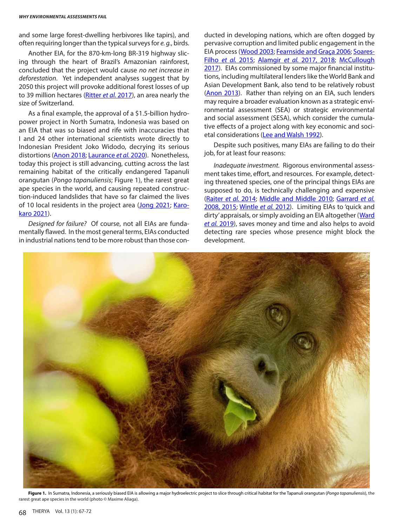and some large forest-dwelling herbivores like tapirs), and often requiring longer than the typical surveys for *e. g.*, birds.

Another EIA, for the 870-km-long BR-319 highway slicing through the heart of Brazil's Amazonian rainforest, concluded that the project would cause *no net increase in deforestation*. Yet independent analyses suggest that by 2050 this project will provoke additional forest losses of up to 39 million hectares ([Ritter](#page-4-18) *et al.* 2017), an area nearly the size of Switzerland.

As a final example, the approval of a \$1.5-billion hydropower project in North Sumatra, Indonesia was based on an EIA that was so biased and rife with inaccuracies that I and 24 other international scientists wrote directly to Indonesian President Joko Widodo, decrying its serious distortions ([Anon 2018;](#page-3-7) [Laurance](#page-4-13) *et al.* 2020). Nonetheless, today this project is still advancing, cutting across the last remaining habitat of the critically endangered Tapanuli orangutan (*Pongo tapanuliensis*; Figure 1), the rarest great ape species in the world, and causing repeated construction-induced landslides that have so far claimed the lives of 10 local residents in the project area ([Jong 2021;](#page-4-19) [Karo](#page-4-20)[karo 2021\)](#page-4-20).

*Designed for failure?* Of course, not all EIAs are fundamentally flawed. In the most general terms, EIAs conducted in industrial nations tend to be more robust than those conducted in developing nations, which are often dogged by pervasive corruption and limited public engagement in the EIA process ([Wood 2003;](#page-5-1) [Fearnside and Graça 2006;](#page-3-4) [Soares-](#page-4-21)Filho *[et al.](#page-4-21)* 2015; [Alamgir](#page-3-5) *et al.* 2017, 2018; [McCullough](#page-4-22)  [2017\)](#page-4-22). EIAs commissioned by some major financial institutions, including multilateral lenders like the World Bank and Asian Development Bank, also tend to be relatively robust [\(Anon 2013\)](#page-3-8). Rather than relying on an EIA, such lenders may require a broader evaluation known as a strategic environmental assessment (SEA) or strategic environmental and social assessment (SESA), which consider the cumulative effects of a project along with key economic and societal considerations [\(Lee and Walsh 1992](#page-4-23)).

Despite such positives, many EIAs are failing to do their job, for at least four reasons:

*Inadequate investment.* Rigorous environmental assessment takes time, effort, and resources. For example, detecting threatened species, one of the principal things EIAs are supposed to do, is technically challenging and expensive [\(Raiter](#page-4-24) *et al.* 2014; [Middle and Middle 2010;](#page-4-25) [Garrard](#page-4-26) *et al.*  [2008, 2015;](#page-4-26) [Wintle](#page-5-2) *et al.* 2012). Limiting EIAs to 'quick and dirty' appraisals, or simply avoiding an EIA altogether (Ward *[et al.](#page-4-27)* 2019), saves money and time and also helps to avoid detecting rare species whose presence might block the development.



Figure 1. In Sumatra, Indonesia, a seriously biased EIA is allowing a major hydroelectric project to slice through critical habitat for the Tapanuli orangutan (Pongo tapanuliensis), the rarest great ape species in the world (photo © Maxime Aliaga).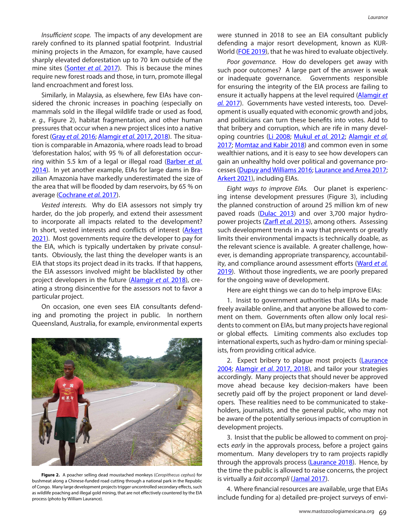*Insufficient scope.* The impacts of any development are rarely confined to its planned spatial footprint. Industrial mining projects in the Amazon, for example, have caused sharply elevated deforestation up to 70 km outside of the mine sites ([Sonter](#page-4-28) *et al.* 2017). This is because the mines require new forest roads and those, in turn, promote illegal land encroachment and forest loss.

Similarly, in Malaysia, as elsewhere, few EIAs have considered the chronic increases in poaching (especially on mammals sold in the illegal wildlife trade or used as food, *e. g.*, Figure 2), habitat fragmentation, and other human pressures that occur when a new project slices into a native forest [\(Gray](#page-4-29) *et al.* 2016; [Alamgir](#page-3-5) *et al.* 2017, 2018). The situation is comparable in Amazonia, where roads lead to broad 'deforestation halos', with 95 % of all deforestation occurring within 5.5 km of a legal or illegal road ([Barber](#page-3-9) *et al.*  [2014\)](#page-3-9). In yet another example, EIAs for large dams in Brazilian Amazonia have markedly underestimated the size of the area that will be flooded by dam reservoirs, by 65 % on average [\(Cochrane](#page-3-10) *et al.* 2017).

*Vested interests.* Why do EIA assessors not simply try harder, do the job properly, and extend their assessment to incorporate all impacts related to the development? In short, vested interests and conflicts of interest (Arkert [2021\)](#page-3-6). Most governments require the developer to pay for the EIA, which is typically undertaken by private consultants. Obviously, the last thing the developer wants is an EIA that stops its project dead in its tracks. If that happens, the EIA assessors involved might be blacklisted by other project developers in the future ([Alamgir](#page-3-3) *et al.* 2018), creating a strong disincentive for the assessors not to favor a particular project.

On occasion, one even sees EIA consultants defending and promoting the project in public. In northern Queensland, Australia, for example, environmental experts



**Figure 2.** A poacher selling dead moustached monkeys (*Ceropithecus cephus*) for bushmeat along a Chinese-funded road cutting through a national park in the Republic of Congo. Many large development projects trigger uncontrolled secondary effects, such as wildlife poaching and illegal gold mining, that are not effectively countered by the EIA process (photo by William Laurance).

were stunned in 2018 to see an EIA consultant publicly defending a major resort development, known as KUR-World [\(FOE 2019\)](#page-4-30), that he was hired to evaluate objectively.

*Poor governance.* How do developers get away with such poor outcomes? A large part of the answer is weak or inadequate governance. Governments responsible for ensuring the integrity of the EIA process are failing to ensure it actually happens at the level required ([Alamgir](#page-3-5) *et al.* [2017](#page-3-5)). Governments have vested interests, too. Development is usually equated with economic growth and jobs, and politicians can turn these benefits into votes. Add to that bribery and corruption, which are rife in many developing countries [\(Li 2008;](#page-4-10) [Mukul](#page-4-31) *et al.* 2012; [Alamgir](#page-3-5) *et al.*  [2017;](#page-3-5) [Momtaz and Kabir 2018](#page-4-11)) and common even in some wealthier nations, and it is easy to see how developers can gain an unhealthy hold over political and governance processes ([Dupuy and Williams 2016;](#page-3-11) [Laurance and Arrea 2017](#page-4-32); [Arkert 2021](#page-3-6)), including EIAs.

*Eight ways to improve EIAs.* Our planet is experiencing intense development pressures (Figure 3), including the planned construction of around 25 million km of new paved roads [\(Dulac 2013](#page-3-12)) and over 3,700 major hydropower projects (Zarfl *[et al.](#page-5-3)* 2015), among others. Assessing such development trends in a way that prevents or greatly limits their environmental impacts is technically doable, as the relevant science is available. A greater challenge, however, is demanding appropriate transparency, accountability, and compliance around assessment efforts ([Ward](#page-4-27) *et al.*  [2019\)](#page-4-27). Without those ingredients, we are poorly prepared for the ongoing wave of development.

Here are eight things we can do to help improve EIAs:

1. Insist to government authorities that EIAs be made freely available online, and that anyone be allowed to comment on them. Governments often allow only local residents to comment on EIAs, but many projects have regional or global effects. Limiting comments also excludes top international experts, such as hydro-dam or mining specialists, from providing critical advice.

2. Expect bribery to plague most projects (Laurance [2004;](#page-4-33) [Alamgir](#page-3-5) *et al.* 2017, 2018), and tailor your strategies accordingly. Many projects that should never be approved move ahead because key decision-makers have been secretly paid off by the project proponent or land developers. These realities need to be communicated to stakeholders, journalists, and the general public, who may not be aware of the potentially serious impacts of corruption in development projects.

3. Insist that the public be allowed to comment on projects *early* in the approvals process, before a project gains momentum. Many developers try to ram projects rapidly through the approvals process [\(Laurance 2018](#page-4-15)). Hence, by the time the public is allowed to raise concerns, the project is virtually a *fait accompli* ([Jamal 2017\)](#page-4-14).

4. Where financial resources are available, urge that EIAs include funding for a) detailed pre-project surveys of envi-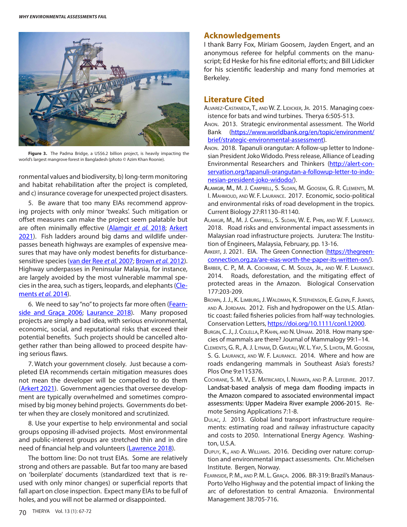

**Figure 3.** The Padma Bridge, a US\$6.2 billion project, is heavily impacting the world's largest mangrove forest in Bangladesh (photo © Azim Khan Roonie).

ronmental values and biodiversity, b) long-term monitoring and habitat rehabilitation after the project is completed, and c) insurance coverage for unexpected project disasters.

5. Be aware that too many EIAs recommend approving projects with only minor 'tweaks'. Such mitigation or offset measures can make the project seem palatable but are often minimally effective ([Alamgir](#page-3-3) *et al.* 2018; [Arkert](#page-3-6) [2021\)](#page-3-6). Fish ladders around big dams and wildlife underpasses beneath highways are examples of expensive measures that may have only modest benefits for disturbancesensitive species ([van der Ree](#page-4-34) *et al.* 2007; [Brown](#page-3-13) *et al.* 2012). Highway underpasses in Peninsular Malaysia, for instance, are largely avoided by the most vulnerable mammal spe-cies in the area, such as tigers, leopards, and elephants ([Cle](#page-3-2)[ments](#page-3-2) *et al.* 2014).

6. We need to say "no" to projects far more often ([Fearn](#page-3-4)[side and Graça 2006;](#page-3-4) [Laurance 2018](#page-4-15)). Many proposed projects are simply a bad idea, with serious environmental, economic, social, and reputational risks that exceed their potential benefits. Such projects should be cancelled altogether rather than being allowed to proceed despite having serious flaws.

7. Watch your government closely. Just because a completed EIA recommends certain mitigation measures does not mean the developer will be compelled to do them [\(Arkert 2021](#page-3-6)). Government agencies that oversee development are typically overwhelmed and sometimes compromised by big money behind projects. Governments do better when they are closely monitored and scrutinized.

8. Use your expertise to help environmental and social groups opposing ill-advised projects. Most environmental and public-interest groups are stretched thin and in dire need of financial help and volunteers ([Lawrence 2018\)](#page-4-15).

The bottom line: Do not trust EIAs. Some are relatively strong and others are passable. But far too many are based on 'boilerplate' documents (standardized text that is reused with only minor changes) or superficial reports that fall apart on close inspection. Expect many EIAs to be full of holes, and you will not be alarmed or disappointed.

### **Acknowledgements**

I thank Barry Fox, Miriam Goosem, Jayden Engert, and an anonymous referee for helpful comments on the manuscript; Ed Heske for his fine editorial efforts; and Bill Lidicker for his scientific leadership and many fond memories at Berkeley.

## **Literature Cited**

- <span id="page-3-1"></span>Alvarez-Castaneda, T., and W. Z. Lidicker, Jr. 2015. Managing coexistence for bats and wind turbines. Therya 6:505-513.
- <span id="page-3-8"></span>Anon. 2013. Strategic environmental assessment. The World Bank ([https://www.worldbank.org/en/topic/environment/](https://www.worldbank.org/en/topic/environment/brief/strategic-environmental-assessment) [brief/strategic-environmental-assessment\)](https://www.worldbank.org/en/topic/environment/brief/strategic-environmental-assessment).
- <span id="page-3-7"></span>Anon. 2018. Tapanuli orangutan: A follow-up letter to Indonesian President Joko Widodo. Press release, Alliance of Leading Environmental Researchers and Thinkers ([http://alert-con](http://alert-conservation.org/tapanuli-orangutan-a-followup-letter-to-indonesian-president-joko-widodo/)[servation.org/tapanuli-orangutan-a-followup-letter-to-indo](http://alert-conservation.org/tapanuli-orangutan-a-followup-letter-to-indonesian-president-joko-widodo/)[nesian-president-joko-widodo/](http://alert-conservation.org/tapanuli-orangutan-a-followup-letter-to-indonesian-president-joko-widodo/)).
- <span id="page-3-5"></span>Alamgir, M., M. J. Campbell, S. Sloan, M. Goosem, G. R. Clements, M. I. Mahmoud, and W. F. Laurance. 2017. Economic, socio-political and environmental risks of road development in the tropics. Current Biology 27:R1130–R1140.
- <span id="page-3-3"></span>Alamgir, M., M. J. Campbell, S. Sloan, W. E. Phin, and W. F. Laurance. 2018. Road risks and environmental impact assessments in Malaysian road infrastructure projects. Jurutera: The Institution of Engineers, Malaysia, February, pp. 13-16.
- <span id="page-3-6"></span>ARKERT, J. 2021. EIA. The Green Connection [\(https://thegreen](https://thegreenconnection.org.za/are-eias-worth-the-paper-its-written-on/)[connection.org.za/are-eias-worth-the-paper-its-written-on/\)](https://thegreenconnection.org.za/are-eias-worth-the-paper-its-written-on/).
- <span id="page-3-9"></span>Barber, C. P., M. A. Cochrane, C. M. Souza, Jr., and W. F. Laurance. 2014. Roads, deforestation, and the mitigating effect of protected areas in the Amazon. Biological Conservation 177:203-209.
- <span id="page-3-13"></span>Brown, J. J., K. Limburg, J. Waldman, K. Stephenson, E. Glenn, F. Juanes, AND A. JORDAAN. 2012. Fish and hydropower on the U.S. Atlantic coast: failed fisheries policies from half-way technologies. Conservation Letters, <https://doi.org/10.1111/conl.12000>.
- <span id="page-3-0"></span>Burgin, C. J., J. Colella, P. Kahn, and N. Upham. 2018. How many species of mammals are there? Journal of Mammalogy 99:1–14.
- <span id="page-3-2"></span>Clements, G. R., A. J. Lynam, D. Gaveau, W. L. Yap, S. Lhota, M. Goosem, S. G. Laurance, and W. F. Laurance. 2014. Where and how are roads endangering mammals in Southeast Asia's forests? Plos One 9:e115376.
- <span id="page-3-10"></span>Cochrane, S. M. V., E. Matricardi, I. Numata, and P. A. Lefebvre. 2017. Landsat-based analysis of mega dam flooding impacts in the Amazon compared to associated environmental impact assessments: Upper Madeira River example 2006-2015. Remote Sensing Applications 7:1-8.
- <span id="page-3-12"></span>Dulac, J. 2013. Global land transport infrastructure requirements: estimating road and railway infrastructure capacity and costs to 2050. International Energy Agency. Washington, U.S.A.
- <span id="page-3-11"></span>Dupuy, K., and A. Williams.2016. Deciding over nature: corruption and environmental impact assessments. Chr. Michelsen Institute. Bergen, Norway.
- <span id="page-3-4"></span>Fearnside, P. M., and P. M. L. Graça. 2006. BR-319: Brazil's Manaus-Porto Velho Highway and the potential impact of linking the arc of deforestation to central Amazonia. Environmental Management 38:705-716.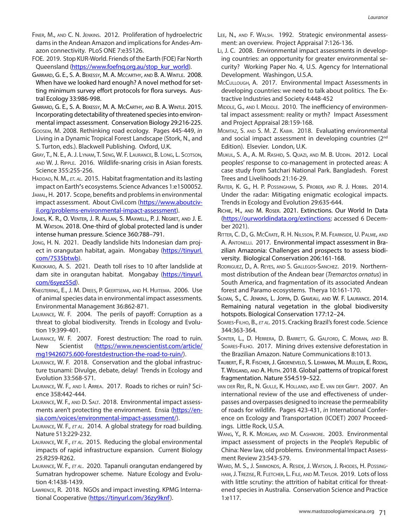- <span id="page-4-6"></span>Finer, M., and C. N. Jenkins. 2012. Proliferation of hydroelectric dams in the Andean Amazon and implications for Andes-Amazon connectivity. PLoS ONE 7:e35126.
- <span id="page-4-30"></span>FOE. 2019. Stop KUR-World. Friends of the Earth (FOE) Far North Queensland [\(https://www.foefnq.org.au/stop\\_kur\\_world\)](https://www.foefnq.org.au/stop_kur_world).
- <span id="page-4-26"></span>Garrard, G. E., S. A. Bekessy, M. A. Mccarthy, and B. A. Wintle. 2008. When have we looked hard enough? A novel method for setting minimum survey effort protocols for flora surveys. Austral Ecology 33:986-998.
- Garrard, G. E., S. A. Bekessy, M. A. McCarthy, and B. A. Wintle. 2015. Incorporating detectability of threatened species into environmental impact assessment. Conservation Biology 29:216-225.
- <span id="page-4-12"></span>Goosem, M. 2008. Rethinking road ecology. Pages 445-449, *in* Living in a Dynamic Tropical Forest Landscape (Stork, N., and S. Turton, eds.). Blackwell Publishing. Oxford, U.K.
- <span id="page-4-29"></span>Gray, T., N. E., A. J. Lynam, T. Seng, W. F. Laurance, B. Long, L. Scotson, and W. J. Ripple. 2016. Wildlife-snaring crisis in Asian forests. Science 355:255-256.
- <span id="page-4-1"></span>HADDAD, N. M., *ET. AL.* 2015. Habitat fragmentation and its lasting impact on Earth**'**s ecosystems. Science Advances 1:e1500052.
- <span id="page-4-14"></span>Jamal, H. 2017. Scope, benefits and problems in environmental impact assessment. About Civil.com [\(https://www.aboutciv](https://www.aboutcivil.org/problems-environmental-impact-assessment)[il.org/problems-environmental-impact-assessment](https://www.aboutcivil.org/problems-environmental-impact-assessment)).
- <span id="page-4-0"></span>Jones, K. R., O. Venter, J. R. Allan, S. Maxwell, P. J. Negret, and J. E. M. Watson. 2018. One-third of global protected land is under intense human pressure. Science 360:788–791.
- <span id="page-4-19"></span>Jong, H. N.2021. Deadly landslide hits Indonesian dam project in orangutan habitat, again. Mongabay ([https://tinyurl.](https://tinyurl.com/7535btwb) [com/7535btwb](https://tinyurl.com/7535btwb)).
- <span id="page-4-20"></span>Karokaro, A. S. 2021. Death toll rises to 10 after landslide at dam site in orangutan habitat. Mongabay ([https://tinyurl.](https://tinyurl.com/6syez55d) [com/6syez55d](https://tinyurl.com/6syez55d)).
- <span id="page-4-17"></span>Knegtering, E., J. M. Drees, P. Geertsema, and H. Huitema. 2006. Use of animal species data in environmental impact assessments. Environmental Management 36:862-871.
- <span id="page-4-33"></span>Laurance, W. F. 2004. The perils of payoff: Corruption as a threat to global biodiversity. Trends in Ecology and Evolution 19:399-401.
- <span id="page-4-16"></span>Laurance, W. F. 2007. Forest destruction: The road to ruin. New Scientist ([https://www.newscientist.com/article/](https://www.newscientist.com/article/mg19426075.600-forestdestruction-the-road-to-ruin/) [mg19426075.600-forestdestruction-the-road-to-ruin/\)](https://www.newscientist.com/article/mg19426075.600-forestdestruction-the-road-to-ruin/).
- <span id="page-4-15"></span>Laurance, W. F. 2018. Conservation and the global infrastructure tsunami: Divulge, debate, delay! Trends in Ecology and Evolution 33:568-571.
- <span id="page-4-32"></span>Laurance, W. F., and I. Arrea. 2017. Roads to riches or ruin? Science 358:442-444.
- <span id="page-4-9"></span>LAURANCE, W. F., AND D. SALT. 2018. Environmental impact assess-ments aren't protecting the environment. Ensia [\(https://en](https://ensia.com/voices/environmental-impact-assessment/)[sia.com/voices/environmental-impact-assessment/\)](https://ensia.com/voices/environmental-impact-assessment/).
- <span id="page-4-7"></span>Laurance, W. F., *et al*. 2014. A global strategy for road building. Nature 513:229-232.
- Laurance, W. F., *et al.* 2015. Reducing the global environmental impacts of rapid infrastructure expansion. Current Biology 25:R259-R262.
- <span id="page-4-13"></span>Laurance, W. F., *et al*. 2020. Tapanuli orangutan endangered by Sumatran hydropower scheme. Nature Ecology and Evolution 4:1438-1439.
- Lawrence, R. 2018. NGOs and impact investing. KPMG International Cooperative ([https://tinyurl.com/36zy9knf\)](https://tinyurl.com/36zy9knf).
- <span id="page-4-23"></span>Lee, N., and F. Walsh. 1992. Strategic environmental assessment: an overview. Project Appraisal 7:126-136.
- <span id="page-4-10"></span>Li, J. C. 2008. Environmental impact assessments in developing countries: an opportunity for greater environmental security?Working Paper No. 4, U.S. Agency for International Development. Washingon, U.S.A.
- <span id="page-4-22"></span>McCullough, A. 2017. Environmental Impact Assessments in developing countries: we need to talk about politics. The Extractive Industries and Society 4:448-452
- <span id="page-4-25"></span>MIDDLE, G., AND I. MIDDLE. 2010. The inefficiency of environmental impact assessment: reality or myth? Impact Assessment and Project Appraisal 28:159-168.
- <span id="page-4-11"></span>MOMTAZ, S. AND S. M. Z. KABIR. 2018. Evaluating environmental and social impact assessment in developing countries (2<sup>nd</sup> Edition). Elsevier. London, U.K.
- <span id="page-4-31"></span>MUKUL, S. A., A. M. RASHID, S. QUAZI, AND M. B. UDDIN. 2012. Local peoples' response to co-management in protected areas: A case study from Satchari National Park. Bangladesh. Forest Trees and Livelihoods 21:16-29.
- <span id="page-4-24"></span>Raiter, K. G., H. P. Possingham, S. Prober, and R. J. Hobbs. 2014. Under the radar: Mitigating enigmatic ecological impacts. Trends in Ecology and Evolution 29:635-644.
- <span id="page-4-4"></span>Richie, H., and M. Roser. 2021. Extinctions. Our World In Data (<https://ourworldindata.org/extinctions>; accessed 6 December 2021).
- <span id="page-4-18"></span>Ritter, C. D., G. McCrate, R. H. Nilsson, P. M. Fearnside, U. Palme, and A. Antonelli. 2017. Environmental impact assessment in Brazilian Amazonia: Challenges and prospects to assess biodiversity. Biological Conservation 206:161-168.
- <span id="page-4-5"></span>Rodriguez, D., A. Reyes, and S. Gallegos-Sanchez.2019. Northernmost distribution of the Andean bear (*Tremarctos ornatus*) in South America, and fragmentation of its associated Andean forest and Paramo ecosystems. Therya 10:161-170.
- <span id="page-4-3"></span>Sloan, S., C. Jenkins, L. Joppa, D. Gaveau, and W. F. Laurance. 2014. Remaining natural vegetation in the global biodiversity hotspots. Biological Conservation 177:12–24.
- <span id="page-4-21"></span>Soares-Filho, B., *et al.* 2015. Cracking Brazil's forest code. Science 344:363-364.
- <span id="page-4-28"></span>Sonter, L., D. Herrera, D. Barrett, G. Galford, C. Moran, and B. Soares-Filho. 2017. Mining drives extensive deforestation in the Brazilian Amazon. Nature Communications 8:1013.
- <span id="page-4-2"></span>Taubert, F., R. Fischer, J. Groeneveld, S. Lehmann, M. Muller, E. Rodig, T. Weigand, and A. Huth. 2018. Global patterns of tropical forest fragmentation. Nature 554:519–522.
- <span id="page-4-34"></span>van der Ree, R., N. Gulle, K. Holland, and E. van der Grift. 2007. An international review of the use and effectiveness of underpasses and overpasses designed to increase the permeability of roads for wildlife. Pages 423-431, *in* International Conference on Ecology and Transportation (ICOET) 2007 Proceedings. Little Rock, U.S.A.
- <span id="page-4-8"></span>Wang, Y., R. K. Morgan, and M. Cashmore. 2003. Environmental impact assessment of projects in the People's Republic of China: New law, old problems. Environmental Impact Assessment Review 23:543-579.
- <span id="page-4-27"></span>Ward, M. S., J. Simmonds, A. Reside, J. Watson, J. Rhodes, H. Possingham, J. Trezise, R. Fletcher, L. File, and M. Taylor. 2019. Lots of loss with little scrutiny: the attrition of habitat critical for threatened species in Australia. Conservation Science and Practice 1:e117.